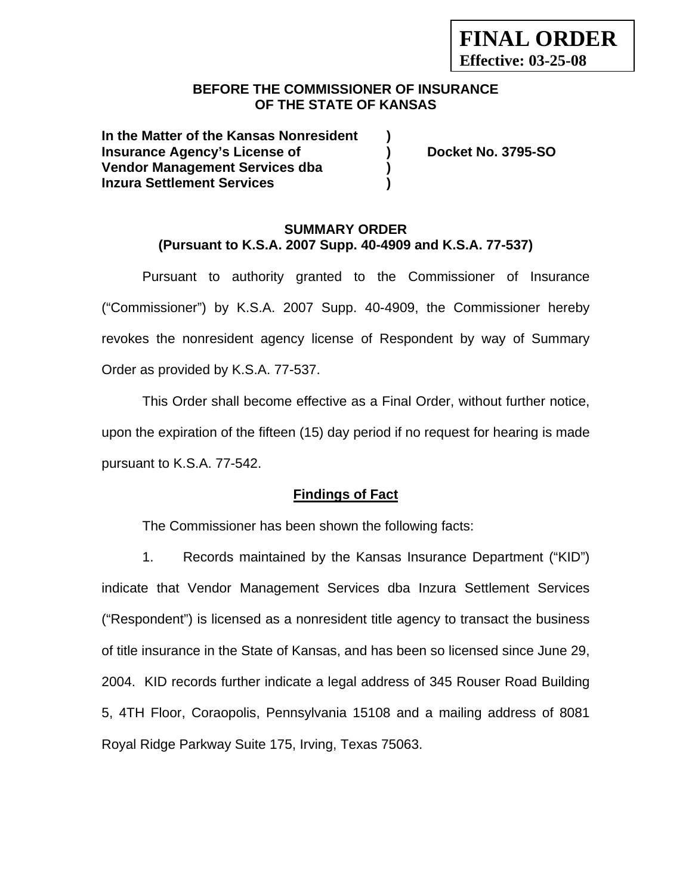### **BEFORE THE COMMISSIONER OF INSURANCE OF THE STATE OF KANSAS**

**In the Matter of the Kansas Nonresident ) Insurance Agency's License of ) Docket No. 3795-SO Vendor Management Services dba ) Inzura Settlement Services )** 

### **SUMMARY ORDER (Pursuant to K.S.A. 2007 Supp. 40-4909 and K.S.A. 77-537)**

Pursuant to authority granted to the Commissioner of Insurance ("Commissioner") by K.S.A. 2007 Supp. 40-4909, the Commissioner hereby revokes the nonresident agency license of Respondent by way of Summary Order as provided by K.S.A. 77-537.

This Order shall become effective as a Final Order, without further notice, upon the expiration of the fifteen (15) day period if no request for hearing is made pursuant to K.S.A. 77-542.

## **Findings of Fact**

The Commissioner has been shown the following facts:

1. Records maintained by the Kansas Insurance Department ("KID") indicate that Vendor Management Services dba Inzura Settlement Services ("Respondent") is licensed as a nonresident title agency to transact the business of title insurance in the State of Kansas, and has been so licensed since June 29, 2004. KID records further indicate a legal address of 345 Rouser Road Building 5, 4TH Floor, Coraopolis, Pennsylvania 15108 and a mailing address of 8081 Royal Ridge Parkway Suite 175, Irving, Texas 75063.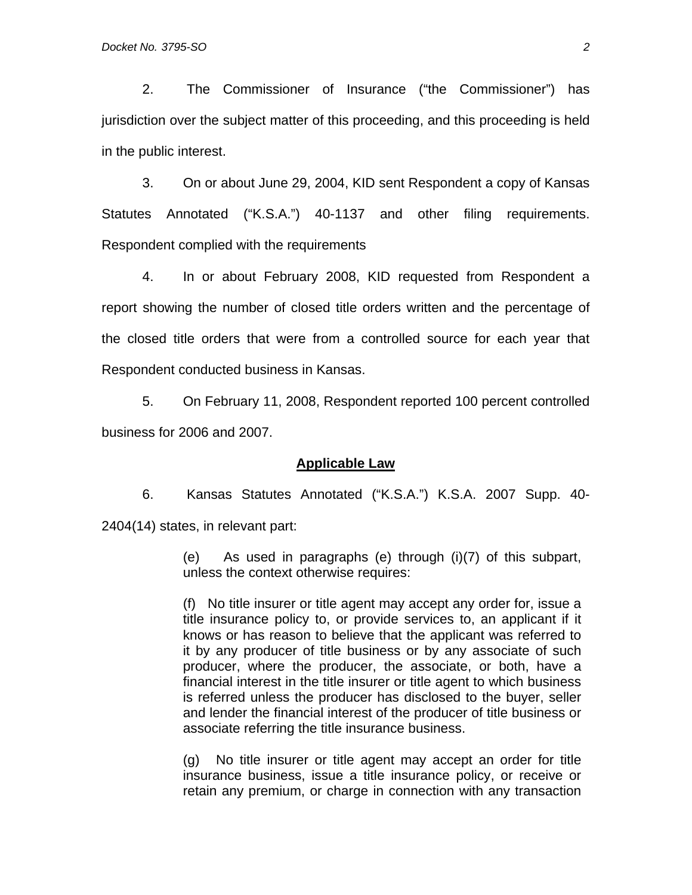2. The Commissioner of Insurance ("the Commissioner") has jurisdiction over the subject matter of this proceeding, and this proceeding is held in the public interest.

3. On or about June 29, 2004, KID sent Respondent a copy of Kansas Statutes Annotated ("K.S.A.") 40-1137 and other filing requirements. Respondent complied with the requirements

4. In or about February 2008, KID requested from Respondent a report showing the number of closed title orders written and the percentage of the closed title orders that were from a controlled source for each year that Respondent conducted business in Kansas.

5. On February 11, 2008, Respondent reported 100 percent controlled business for 2006 and 2007.

#### **Applicable Law**

6. Kansas Statutes Annotated ("K.S.A.") K.S.A. 2007 Supp. 40- 2404(14) states, in relevant part:

> (e) As used in paragraphs (e) through (i)(7) of this subpart, unless the context otherwise requires:

> (f) No title insurer or title agent may accept any order for, issue a title insurance policy to, or provide services to, an applicant if it knows or has reason to believe that the applicant was referred to it by any producer of title business or by any associate of such producer, where the producer, the associate, or both, have a financial interest in the title insurer or title agent to which business is referred unless the producer has disclosed to the buyer, seller and lender the financial interest of the producer of title business or associate referring the title insurance business.

> (g) No title insurer or title agent may accept an order for title insurance business, issue a title insurance policy, or receive or retain any premium, or charge in connection with any transaction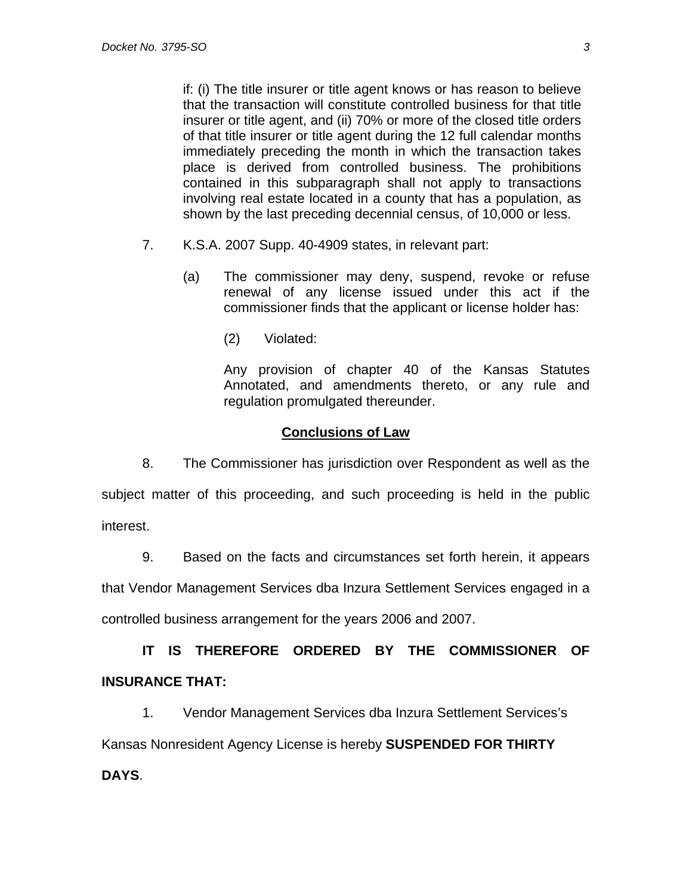if: (i) The title insurer or title agent knows or has reason to believe that the transaction will constitute controlled business for that title insurer or title agent, and (ii) 70% or more of the closed title orders of that title insurer or title agent during the 12 full calendar months immediately preceding the month in which the transaction takes place is derived from controlled business. The prohibitions contained in this subparagraph shall not apply to transactions involving real estate located in a county that has a population, as shown by the last preceding decennial census, of 10,000 or less.

- 7. K.S.A. 2007 Supp. 40-4909 states, in relevant part:
	- (a) The commissioner may deny, suspend, revoke or refuse renewal of any license issued under this act if the commissioner finds that the applicant or license holder has:
		- (2) Violated:

 Any provision of chapter 40 of the Kansas Statutes Annotated, and amendments thereto, or any rule and regulation promulgated thereunder.

### **Conclusions of Law**

8. The Commissioner has jurisdiction over Respondent as well as the subject matter of this proceeding, and such proceeding is held in the public interest.

9. Based on the facts and circumstances set forth herein, it appears

that Vendor Management Services dba Inzura Settlement Services engaged in a

controlled business arrangement for the years 2006 and 2007.

# **IT IS THEREFORE ORDERED BY THE COMMISSIONER OF INSURANCE THAT:**

1. Vendor Management Services dba Inzura Settlement Services's

Kansas Nonresident Agency License is hereby **SUSPENDED FOR THIRTY** 

# **DAYS**.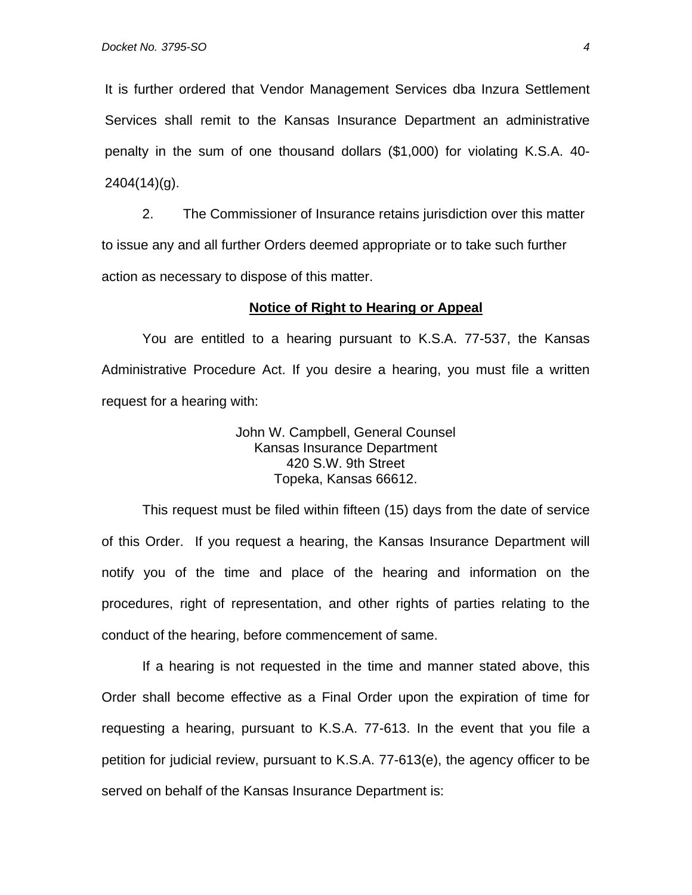It is further ordered that Vendor Management Services dba Inzura Settlement Services shall remit to the Kansas Insurance Department an administrative penalty in the sum of one thousand dollars (\$1,000) for violating K.S.A. 40- 2404(14)(g).

2. The Commissioner of Insurance retains jurisdiction over this matter to issue any and all further Orders deemed appropriate or to take such further action as necessary to dispose of this matter.

### **Notice of Right to Hearing or Appeal**

You are entitled to a hearing pursuant to K.S.A. 77-537, the Kansas Administrative Procedure Act. If you desire a hearing, you must file a written request for a hearing with:

> John W. Campbell, General Counsel Kansas Insurance Department 420 S.W. 9th Street Topeka, Kansas 66612.

This request must be filed within fifteen (15) days from the date of service of this Order. If you request a hearing, the Kansas Insurance Department will notify you of the time and place of the hearing and information on the procedures, right of representation, and other rights of parties relating to the conduct of the hearing, before commencement of same.

If a hearing is not requested in the time and manner stated above, this Order shall become effective as a Final Order upon the expiration of time for requesting a hearing, pursuant to K.S.A. 77-613. In the event that you file a petition for judicial review, pursuant to K.S.A. 77-613(e), the agency officer to be served on behalf of the Kansas Insurance Department is: